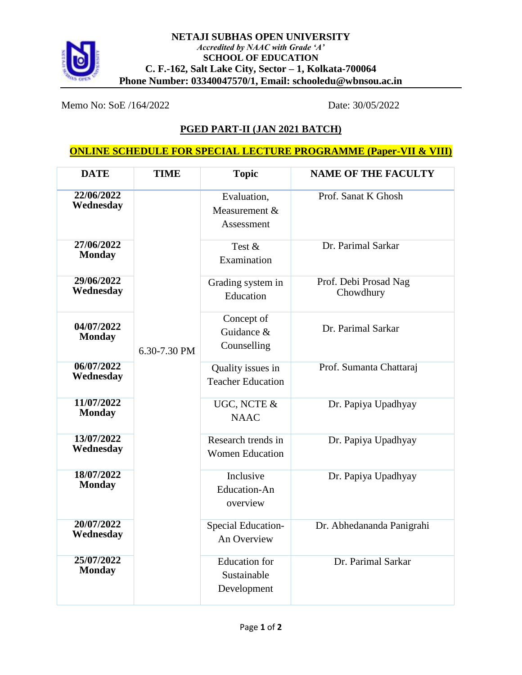

Memo No: SoE /164/2022 Date: 30/05/2022

## **PGED PART-II (JAN 2021 BATCH)**

## **ONLINE SCHEDULE FOR SPECIAL LECTURE PROGRAMME (Paper-VII & VIII)**

| <b>DATE</b>                 | <b>TIME</b>  | <b>Topic</b>                                       | <b>NAME OF THE FACULTY</b>         |
|-----------------------------|--------------|----------------------------------------------------|------------------------------------|
| 22/06/2022<br>Wednesday     | 6.30-7.30 PM | Evaluation,<br>Measurement &<br>Assessment         | Prof. Sanat K Ghosh                |
| 27/06/2022<br><b>Monday</b> |              | Test &<br>Examination                              | Dr. Parimal Sarkar                 |
| 29/06/2022<br>Wednesday     |              | Grading system in<br>Education                     | Prof. Debi Prosad Nag<br>Chowdhury |
| 04/07/2022<br><b>Monday</b> |              | Concept of<br>Guidance &<br>Counselling            | Dr. Parimal Sarkar                 |
| 06/07/2022<br>Wednesday     |              | Quality issues in<br><b>Teacher Education</b>      | Prof. Sumanta Chattaraj            |
| 11/07/2022<br><b>Monday</b> |              | UGC, NCTE &<br><b>NAAC</b>                         | Dr. Papiya Upadhyay                |
| 13/07/2022<br>Wednesday     |              | Research trends in<br><b>Women Education</b>       | Dr. Papiya Upadhyay                |
| 18/07/2022<br><b>Monday</b> |              | Inclusive<br><b>Education-An</b><br>overview       | Dr. Papiya Upadhyay                |
| 20/07/2022<br>Wednesday     |              | Special Education-<br>An Overview                  | Dr. Abhedananda Panigrahi          |
| 25/07/2022<br><b>Monday</b> |              | <b>Education</b> for<br>Sustainable<br>Development | Dr. Parimal Sarkar                 |